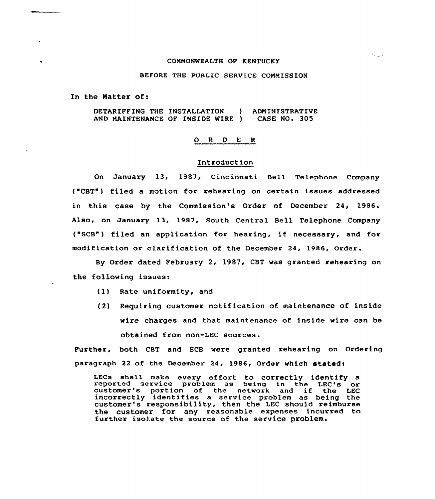# COMMONWEALTH OF KENTUCKY

 $\lambda_{\rm 2000}$ 

### BEFORE THE PUBLIC SERVICE COMMISSION

In the Matter of <sup>r</sup>

DETARIFFING THE INSTALLATION AND MAINTENANCE OF INSIDE WIRE ) CASE NO. 305 ADMINISTRATIVE

### 0 R <sup>D</sup> E R

# Introduction

On January 13, 1987, Cincinnati Bell Telephone Company ("CBT") filed a motion for rehearing on certain issues addressed in this case by the Commission's Order of December 24, 1986. Also, on January 13, 1987, South Central Bell Telephone Company ("SCB") filed an application for hearing, if necessary, and for modification ox clarification of the Decembex'4, 1986, Order.

By Order dated February 2, 1987, CBT was granted rehearing on the following issues:

- {1) Rate uniformity, and
- (2) Requiring customer notification of maintenance of inside wire charges and that maintenance of inside wire can be obtained from non-LEC sources.

Further, both CBT and SCS were granted rehearing on Ordering paragraph 22 of the December 24, 1986, Order which statedt

LECs shall make every effort to correctly identify a reported service problem as being in the LEC's or customer's portion of the network and if the LEC incorrectly identifies <sup>a</sup> sexvice problem as being the customer's responsibility, then the LEC should reimburse the customer for any reasonable expenses incurred to further isolate the source of the service problem.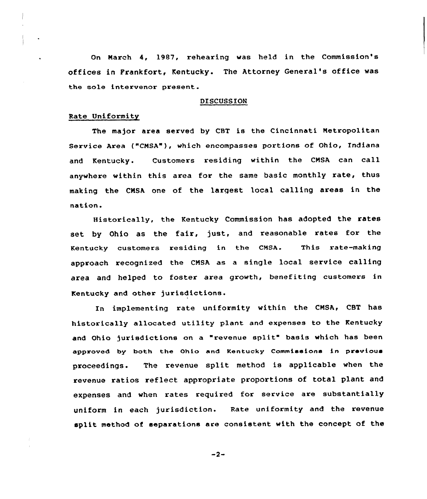On Narch 4, 1987, rehearing was held in the Commission's offices in Frankfort, Kentucky. The Attorney General's office was the sole intervenor present.

### DISCUSSION

# Rate Uniformity

The major area served by CBT is the Cincinnati Metropolitan Service Area ("CNSA"), which encompasses portions of Ohio, Indiana and Kentucky. Customers residing within the CMSA can call anywhere within this area for the same basic monthly rate, thus making the CNSA one of the largest local calling axeas in the nation.

Historically, the Kentucky Commission has adopted the rates set by Ohio as the fair, just, and reasonable rates for the Kentucky customers residing in the CNSA. This rate-making approach recognized the CNSA as a single local service calling area and helped to foster area growth, benefiting customers in Kentucky and other jurisdictions.

In implementing rate uniformity within the CMSA, CBT has historically allocated utility plant and expenses to the Kentucky and Ohio jurisdictions on a "revenue split" basis which has been approved by both the Ohio end Kentucky Commissions in previous proceedings. The revenue split method is applicable when the revenue xatios reflect appropriate proportions of total plant and expenses and when rates required for service are substantially uniform in each jurisdiction. Rate uniformity and the revenue split method of separations are consistent with the concept of the

 $-2-$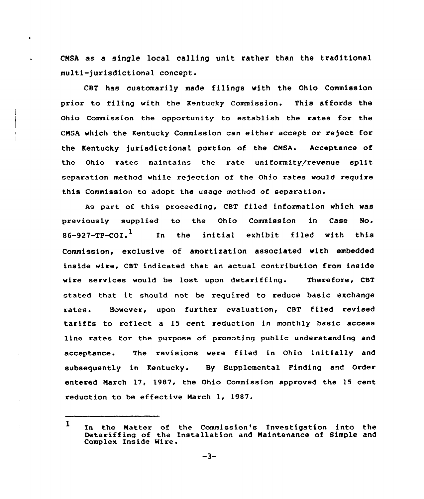CNSA as a single local calling unit rather than the traditional multi-jurisdictional concept.

CBT has customarily made filings with the Ohio Commission prior to filing with the Kentucky Commission. This affords the Ohio Commission the opportunity to establish the rates for the CNSA which the Kentucky Commission can either accept or reject for the Kentucky jurisdictional portion of the CNSA. Acceptance of the Ohio rates maintains the rate uniformity/revenue split separation method while rejection of the Ohio rates would require this Commission to adopt the usage method of separation.

As part of this proceeding, CBT filed information which was previously supplied to the Ohio Commission in Case No. 86–927–тр– $\rm{co}$ г. $^1$ In the initial exhibit filed with this Commission, exclusive of amortization associated with embedded inside wire, CBT indicated that an actual contribution from inside wire services would be lost upon detariffing. Therefore, CBT stated that it should not be required to reduce basic exchange rates. However, upon further evaluation, CBT filed revised tariffs to reflect a 15 cent reduction in monthly basic access line rates for the purpose of promoting public understanding and acceptance. The revisions were filed in Ohio initially and subsequently in Kentucky. By Supplemental Finding and Order entered Narch 17, 1987, the Ohio Commission approved the 15 cent reduction to be effective Narch 1, 1987.

I In the Matter of the Commission's Investigation into the Detariffing of the Installation and Naintenance of Simple and Complex Inside Wire.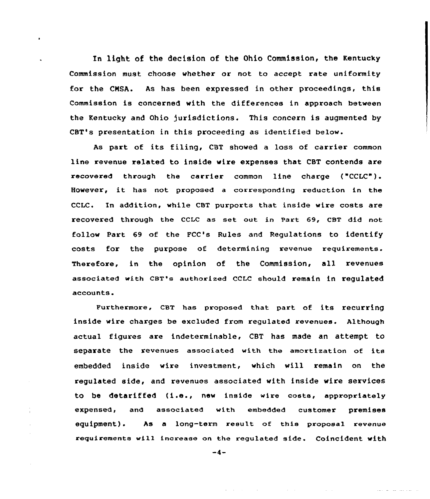In light of the decision of the Ohio Commission, the Kentucky Commission must choose whether or not to accept rate uniformity for the CMSA. As has been expressed in other proceedings, this Commission is concerned with the differences in approach between the Kentucky and Ohio jurisdictions. This concern is augmented by CBT's presentation in this proceeding as identified below.

 $\ddot{\phantom{a}}$ 

As part of its filing, CST showed <sup>a</sup> loss of carrier common line revenue related to inside wire expenses that CBT contends are recovered through the carrier common line charge ("CCLC"). However, it has not proposed <sup>a</sup> corresponding reduction in the CCLC. In addition, while CBT purports that inside wire costs are recovered through the ccLc as set out in part 69, cBT did not follow Part 69 of the FCC's Rules and Regulations to identify costs for the purpose of determining revenue requirements. Therefore, in the opinion of the Commission, all revenues associated with CBT's authorized CCLC should remain in requlated accounts.

Furthermore, cBT has proposed that part of its recurring inside wire charges be excluded from regulated revenues. Although actual figures are indeterminable, CBT has made an attempt to separate the revenues associated with the amortization of its embedded inside wire investment, which will remain on the regulated side, and revenues associated with inside wire services to be detariffed (i.e., new inside wire costa, appropriately expensed, and associated with embedded customer premises equipment). As a long-term result of this proposal revenue requirements will increase an the regulated side. Coincident with

 $-4-$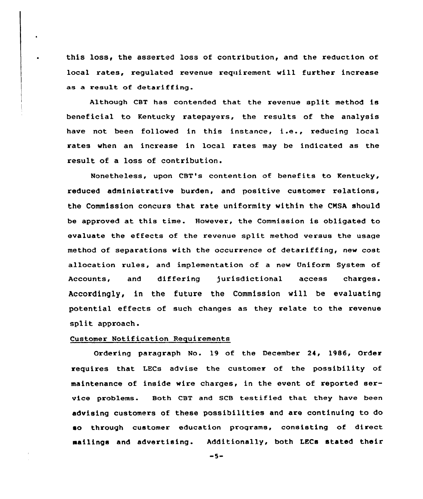this loss< the asserted loss of contribution, and the reduction of local rates, regulated revenue requirement will further increase as a result of detariffing

Although CBT has contended that the revenue split method is beneficial to Kentucky ratepayers, the results of the analysis have not been followed in this instance, i.e., reducing local rates when an increase in local rates may be indicated as the result of a loss of contribution.

Nonetheless, upon CBT's contention of benefits to Kentucky, reduced administrative burden, and positive customer relations, the Commission concurs that rate uniformity within the CMSA should be approved at this time. However, the Commission is obligated to evaluate the effects of the revenue split method versus the usage method of separations with the occurrence of detariffing, new cost allocation rules, and implementation of a new Uniform System of Accounts, and differing jurisdictional access charges. Accordingly, in the future the Commission will be evaluating potential effects of such changes as they relate to the revenue split approach.

# Customer Notification Requirements

Ordering paragraph No. 19 of the December 24, 1986, Order requires that LECs advise the customer of the possibility of maintenance of inside wire charges, in the event of reported service problems. Both CBT and SCB testified that they have been advising customers of these possibilities and are continuing to do so through customer education programs, consisting of direct mailings and advertising. Additionally, both LECs stated their

 $-5-$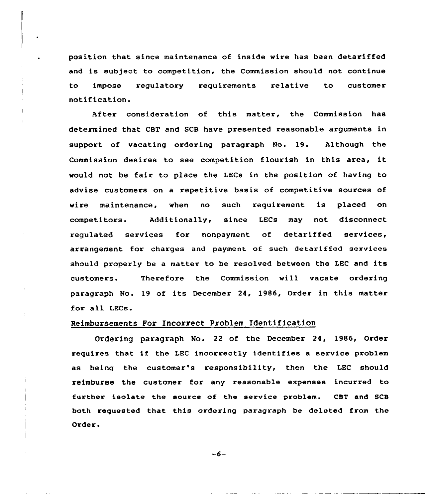position that since maintenance of inside wire has been detariffed and is subject to competition, the Commission should not continue to impose regulatoxy requixements relative to customer notification.

After consideration of this matter, the Commission has determined that CBT and SCB have presented reasonable arguments in support of vacating ordering paragraph No. 19. Although the Commission desires to see competition flourish in this area, it would not be fair to place the LECs in the position of having to advise customers on a repetitive basis of competitive sources of wire maintenance, when no such requirement is placed on competitors. Additionally, since LECs may not disconnect regulated services for nonpayment of detariffed services, arx'angement for charges and payment of such detariffed sexvices should properly be <sup>a</sup> matter to be resolved between the LEC and its customers. Therefore the Commission will vacate ordering paragraph No. 19 of its December 24, 1986, Order in this matter for all LECs.

### Reimbursements For Incorrect Problem Identification

Ordering paragraph No. 22 of the December 24, 1986, Order requires that if the LEC incorrectly identifies <sup>a</sup> service problem as being the customer's responsibility, then the LEC should reimburse the customer for any reasonable expenses incuxred to further isolate the source of the service problem. CBT and SCB both requested that this ordering paragraph be deleted from the Order.

 $-6-$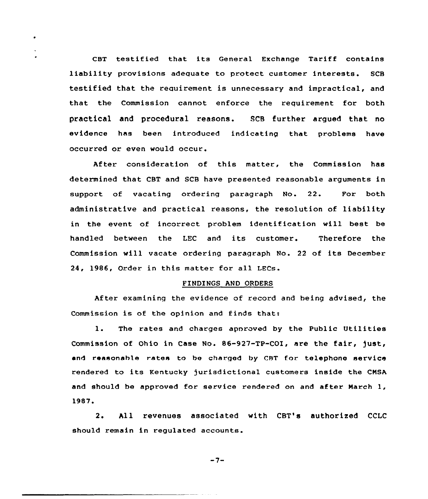CBT testified that its General Exchange Tariff contains liability provisions adequate to protect customer interests. SCB testified that the requirement is unnecessary and impractical, and that the Commission cannot enforce the requirement for both practical and procedural reasons. SCB further argued that no evidence has been introduced indicating that problems have occurred or even would occur.

After consideration of this matter, the Commission has determined that CBT and SCB have presented reasonable arguments in support of vacating ordering paragraph No. 22. For both administrative and practical reasons, the resolution of liability in the event af incorrect problem identification will best be handled between the LEC and its customer. Therefore the Commission will vacate ordering paraqraph No. <sup>22</sup> of its December 24, 1986, Order in this matter for all LECs.

### FINDINGS AND ORDERS

After examining the evidence of record and being advised, the Commission is of the opinion and finds that:

1. The rates and charges apnroved by the Public Utilities Commission of Ohio in Case No. 86-927-TP-COI, are the fair, just, and reasonahle rates ta be charged by CRT for. telephone service rendered to its Kentucky )urisdictianal customers inside the CNSA and should be approved for service rendered on and after March 1, 1987.

2. All revenues associated with CBT's authorized CCLC should remain in regulated accounts.

 $-7-$